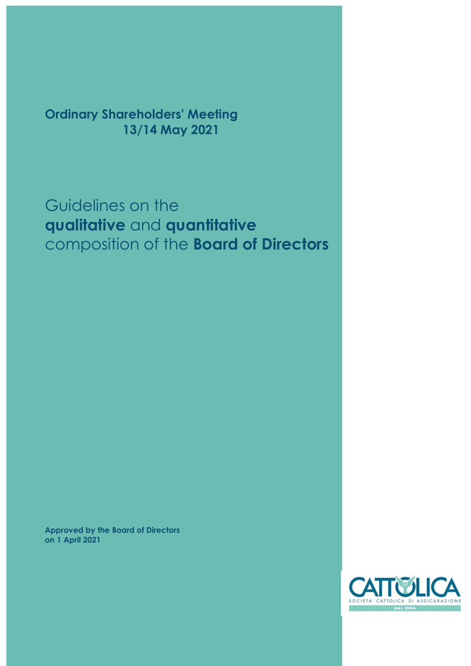Ordinary Shareholders' Meeting 13/14 May 2021

# Guidelines on the qualitative and quantitative composition of the Board of Directors

Approved by the Board of Directors on 1 April 2021

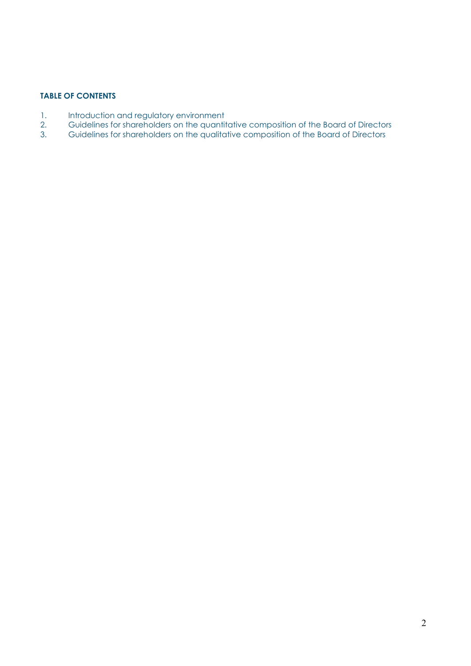## TABLE OF CONTENTS

- 1. Introduction and regulatory environment
- 2. Guidelines for shareholders on the quantitative composition of the Board of Directors
- 3. Guidelines for shareholders on the qualitative composition of the Board of Directors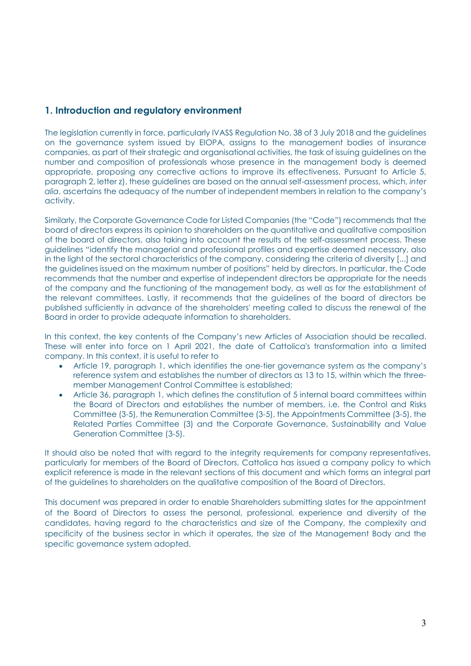# 1. Introduction and regulatory environment

The legislation currently in force, particularly IVASS Regulation No. 38 of 3 July 2018 and the guidelines on the governance system issued by EIOPA, assigns to the management bodies of insurance companies, as part of their strategic and organisational activities, the task of issuing guidelines on the number and composition of professionals whose presence in the management body is deemed appropriate, proposing any corrective actions to improve its effectiveness. Pursuant to Article 5, paragraph 2, letter z), these guidelines are based on the annual self-assessment process, which, inter alia, ascertains the adequacy of the number of independent members in relation to the company's activity.

Similarly, the Corporate Governance Code for Listed Companies (the "Code") recommends that the board of directors express its opinion to shareholders on the quantitative and qualitative composition of the board of directors, also taking into account the results of the self-assessment process. These guidelines "identify the managerial and professional profiles and expertise deemed necessary, also in the light of the sectoral characteristics of the company, considering the criteria of diversity [...] and the guidelines issued on the maximum number of positions" held by directors. In particular, the Code recommends that the number and expertise of independent directors be appropriate for the needs of the company and the functioning of the management body, as well as for the establishment of the relevant committees. Lastly, it recommends that the guidelines of the board of directors be published sufficiently in advance of the shareholders' meeting called to discuss the renewal of the Board in order to provide adequate information to shareholders.

In this context, the key contents of the Company's new Articles of Association should be recalled. These will enter into force on 1 April 2021, the date of Cattolica's transformation into a limited company. In this context, it is useful to refer to

- Article 19, paragraph 1, which identifies the one-tier governance system as the company's reference system and establishes the number of directors as 13 to 15, within which the threemember Management Control Committee is established;
- Article 36, paragraph 1, which defines the constitution of 5 internal board committees within the Board of Directors and establishes the number of members, i.e. the Control and Risks Committee (3-5), the Remuneration Committee (3-5), the Appointments Committee (3-5), the Related Parties Committee (3) and the Corporate Governance, Sustainability and Value Generation Committee (3-5).

It should also be noted that with regard to the integrity requirements for company representatives, particularly for members of the Board of Directors, Cattolica has issued a company policy to which explicit reference is made in the relevant sections of this document and which forms an integral part of the guidelines to shareholders on the qualitative composition of the Board of Directors.

This document was prepared in order to enable Shareholders submitting slates for the appointment of the Board of Directors to assess the personal, professional, experience and diversity of the candidates, having regard to the characteristics and size of the Company, the complexity and specificity of the business sector in which it operates, the size of the Management Body and the specific governance system adopted.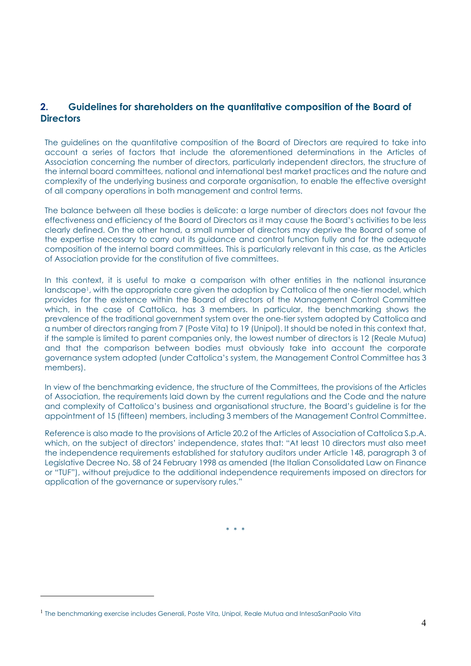# 2. Guidelines for shareholders on the quantitative composition of the Board of **Directors**

The guidelines on the quantitative composition of the Board of Directors are required to take into account a series of factors that include the aforementioned determinations in the Articles of Association concerning the number of directors, particularly independent directors, the structure of the internal board committees, national and international best market practices and the nature and complexity of the underlying business and corporate organisation, to enable the effective oversight of all company operations in both management and control terms.

The balance between all these bodies is delicate: a large number of directors does not favour the effectiveness and efficiency of the Board of Directors as it may cause the Board's activities to be less clearly defined. On the other hand, a small number of directors may deprive the Board of some of the expertise necessary to carry out its guidance and control function fully and for the adequate composition of the internal board committees. This is particularly relevant in this case, as the Articles of Association provide for the constitution of five committees.

In this context, it is useful to make a comparison with other entities in the national insurance landscape<sup>1</sup>, with the appropriate care given the adoption by Cattolica of the one-tier model, which provides for the existence within the Board of directors of the Management Control Committee which, in the case of Cattolica, has 3 members. In particular, the benchmarking shows the prevalence of the traditional government system over the one-tier system adopted by Cattolica and a number of directors ranging from 7 (Poste Vita) to 19 (Unipol). It should be noted in this context that, if the sample is limited to parent companies only, the lowest number of directors is 12 (Reale Mutua) and that the comparison between bodies must obviously take into account the corporate governance system adopted (under Cattolica's system, the Management Control Committee has 3 members).

In view of the benchmarking evidence, the structure of the Committees, the provisions of the Articles of Association, the requirements laid down by the current regulations and the Code and the nature and complexity of Cattolica's business and organisational structure, the Board's guideline is for the appointment of 15 (fifteen) members, including 3 members of the Management Control Committee.

Reference is also made to the provisions of Article 20.2 of the Articles of Association of Cattolica S.p.A. which, on the subject of directors' independence, states that: "At least 10 directors must also meet the independence requirements established for statutory auditors under Article 148, paragraph 3 of Legislative Decree No. 58 of 24 February 1998 as amended (the Italian Consolidated Law on Finance or "TUF"), without prejudice to the additional independence requirements imposed on directors for application of the governance or supervisory rules."

\* \* \*

<sup>&</sup>lt;sup>1</sup> The benchmarking exercise includes Generali, Poste Vita, Unipol, Reale Mutua and IntesaSanPaolo Vita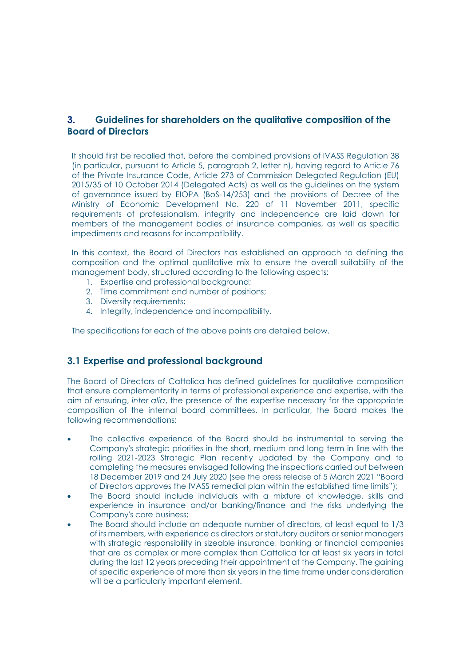# 3. Guidelines for shareholders on the qualitative composition of the Board of Directors

It should first be recalled that, before the combined provisions of IVASS Regulation 38 (in particular, pursuant to Article 5, paragraph 2, letter n), having regard to Article 76 of the Private Insurance Code, Article 273 of Commission Delegated Regulation (EU) 2015/35 of 10 October 2014 (Delegated Acts) as well as the guidelines on the system of governance issued by EIOPA (BoS-14/253) and the provisions of Decree of the Ministry of Economic Development No. 220 of 11 November 2011, specific requirements of professionalism, integrity and independence are laid down for members of the management bodies of insurance companies, as well as specific impediments and reasons for incompatibility.

In this context, the Board of Directors has established an approach to defining the composition and the optimal qualitative mix to ensure the overall suitability of the management body, structured according to the following aspects:

- 1. Expertise and professional background:
- 2. Time commitment and number of positions;
- 3. Diversity requirements;
- 4. Integrity, independence and incompatibility.

The specifications for each of the above points are detailed below.

## 3.1 Expertise and professional background

The Board of Directors of Cattolica has defined guidelines for qualitative composition that ensure complementarity in terms of professional experience and expertise, with the aim of ensuring, inter alia, the presence of the expertise necessary for the appropriate composition of the internal board committees. In particular, the Board makes the following recommendations:

- The collective experience of the Board should be instrumental to serving the Company's strategic priorities in the short, medium and long term in line with the rolling 2021-2023 Strategic Plan recently updated by the Company and to completing the measures envisaged following the inspections carried out between 18 December 2019 and 24 July 2020 (see the press release of 5 March 2021 "Board of Directors approves the IVASS remedial plan within the established time limits");
- The Board should include individuals with a mixture of knowledge, skills and experience in insurance and/or banking/finance and the risks underlying the Company's core business;
- The Board should include an adequate number of directors, at least equal to 1/3 of its members, with experience as directors or statutory auditors or senior managers with strategic responsibility in sizeable insurance, banking or financial companies that are as complex or more complex than Cattolica for at least six years in total during the last 12 years preceding their appointment at the Company. The gaining of specific experience of more than six years in the time frame under consideration will be a particularly important element.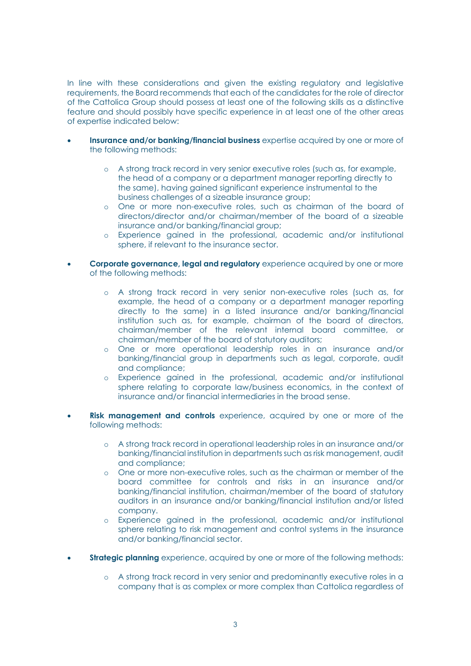In line with these considerations and given the existing regulatory and legislative requirements, the Board recommends that each of the candidates for the role of director of the Cattolica Group should possess at least one of the following skills as a distinctive feature and should possibly have specific experience in at least one of the other areas of expertise indicated below:

- Insurance and/or banking/financial business expertise acquired by one or more of the following methods:
	- o A strong track record in very senior executive roles (such as, for example, the head of a company or a department manager reporting directly to the same), having gained significant experience instrumental to the business challenges of a sizeable insurance group;
	- o One or more non-executive roles, such as chairman of the board of directors/director and/or chairman/member of the board of a sizeable insurance and/or banking/financial group;
	- o Experience gained in the professional, academic and/or institutional sphere, if relevant to the insurance sector.
- Corporate governance, legal and regulatory experience acquired by one or more of the following methods:
	- o A strong track record in very senior non-executive roles (such as, for example, the head of a company or a department manager reporting directly to the same) in a listed insurance and/or banking/financial institution such as, for example, chairman of the board of directors, chairman/member of the relevant internal board committee, or chairman/member of the board of statutory auditors;
	- o One or more operational leadership roles in an insurance and/or banking/financial group in departments such as legal, corporate, audit and compliance;
	- o Experience gained in the professional, academic and/or institutional sphere relating to corporate law/business economics, in the context of insurance and/or financial intermediaries in the broad sense.
- **Risk management and controls** experience, acquired by one or more of the following methods:
	- o A strong track record in operational leadership roles in an insurance and/or banking/financial institution in departments such as risk management, audit and compliance;
	- o One or more non-executive roles, such as the chairman or member of the board committee for controls and risks in an insurance and/or banking/financial institution, chairman/member of the board of statutory auditors in an insurance and/or banking/financial institution and/or listed company.
	- o Experience gained in the professional, academic and/or institutional sphere relating to risk management and control systems in the insurance and/or banking/financial sector.
- **Strategic planning** experience, acquired by one or more of the following methods:
	- o A strong track record in very senior and predominantly executive roles in a company that is as complex or more complex than Cattolica regardless of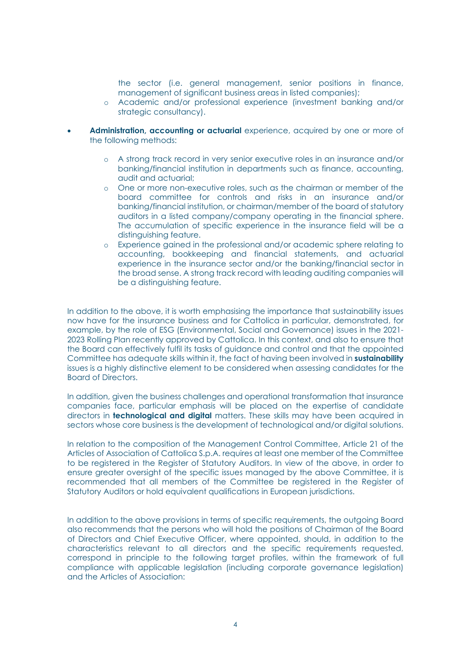the sector (i.e. general management, senior positions in finance, management of significant business areas in listed companies);

- o Academic and/or professional experience (investment banking and/or strategic consultancy).
- Administration, accounting or actuarial experience, acquired by one or more of the following methods:
	- o A strong track record in very senior executive roles in an insurance and/or banking/financial institution in departments such as finance, accounting, audit and actuarial;
	- o One or more non-executive roles, such as the chairman or member of the board committee for controls and risks in an insurance and/or banking/financial institution, or chairman/member of the board of statutory auditors in a listed company/company operating in the financial sphere. The accumulation of specific experience in the insurance field will be a distinguishing feature.
	- o Experience gained in the professional and/or academic sphere relating to accounting, bookkeeping and financial statements, and actuarial experience in the insurance sector and/or the banking/financial sector in the broad sense. A strong track record with leading auditing companies will be a distinguishing feature.

In addition to the above, it is worth emphasising the importance that sustainability issues now have for the insurance business and for Cattolica in particular, demonstrated, for example, by the role of ESG (Environmental, Social and Governance) issues in the 2021- 2023 Rolling Plan recently approved by Cattolica. In this context, and also to ensure that the Board can effectively fulfil its tasks of guidance and control and that the appointed Committee has adequate skills within it, the fact of having been involved in sustainability issues is a highly distinctive element to be considered when assessing candidates for the Board of Directors.

In addition, given the business challenges and operational transformation that insurance companies face, particular emphasis will be placed on the expertise of candidate directors in **technological and digital** matters. These skills may have been acquired in sectors whose core business is the development of technological and/or digital solutions.

In relation to the composition of the Management Control Committee, Article 21 of the Articles of Association of Cattolica S.p.A. requires at least one member of the Committee to be registered in the Register of Statutory Auditors. In view of the above, in order to ensure greater oversight of the specific issues managed by the above Committee, it is recommended that all members of the Committee be registered in the Register of Statutory Auditors or hold equivalent qualifications in European jurisdictions.

In addition to the above provisions in terms of specific requirements, the outgoing Board also recommends that the persons who will hold the positions of Chairman of the Board of Directors and Chief Executive Officer, where appointed, should, in addition to the characteristics relevant to all directors and the specific requirements requested, correspond in principle to the following target profiles, within the framework of full compliance with applicable legislation (including corporate governance legislation) and the Articles of Association: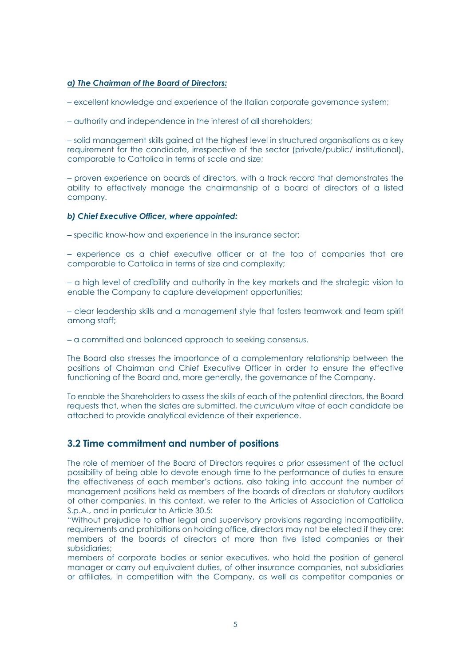#### a) The Chairman of the Board of Directors:

‒ excellent knowledge and experience of the Italian corporate governance system;

‒ authority and independence in the interest of all shareholders;

‒ solid management skills gained at the highest level in structured organisations as a key requirement for the candidate, irrespective of the sector (private/public/ institutional), comparable to Cattolica in terms of scale and size;

‒ proven experience on boards of directors, with a track record that demonstrates the ability to effectively manage the chairmanship of a board of directors of a listed company.

#### b) Chief Executive Officer, where appointed:

‒ specific know-how and experience in the insurance sector;

‒ experience as a chief executive officer or at the top of companies that are comparable to Cattolica in terms of size and complexity;

‒ a high level of credibility and authority in the key markets and the strategic vision to enable the Company to capture development opportunities;

‒ clear leadership skills and a management style that fosters teamwork and team spirit among staff;

‒ a committed and balanced approach to seeking consensus.

The Board also stresses the importance of a complementary relationship between the positions of Chairman and Chief Executive Officer in order to ensure the effective functioning of the Board and, more generally, the governance of the Company.

To enable the Shareholders to assess the skills of each of the potential directors, the Board requests that, when the slates are submitted, the curriculum vitae of each candidate be attached to provide analytical evidence of their experience.

## 3.2 Time commitment and number of positions

The role of member of the Board of Directors requires a prior assessment of the actual possibility of being able to devote enough time to the performance of duties to ensure the effectiveness of each member's actions, also taking into account the number of management positions held as members of the boards of directors or statutory auditors of other companies. In this context, we refer to the Articles of Association of Cattolica S.p.A., and in particular to Article 30.5:

"Without prejudice to other legal and supervisory provisions regarding incompatibility, requirements and prohibitions on holding office, directors may not be elected if they are: members of the boards of directors of more than five listed companies or their subsidiaries;

members of corporate bodies or senior executives, who hold the position of general manager or carry out equivalent duties, of other insurance companies, not subsidiaries or affiliates, in competition with the Company, as well as competitor companies or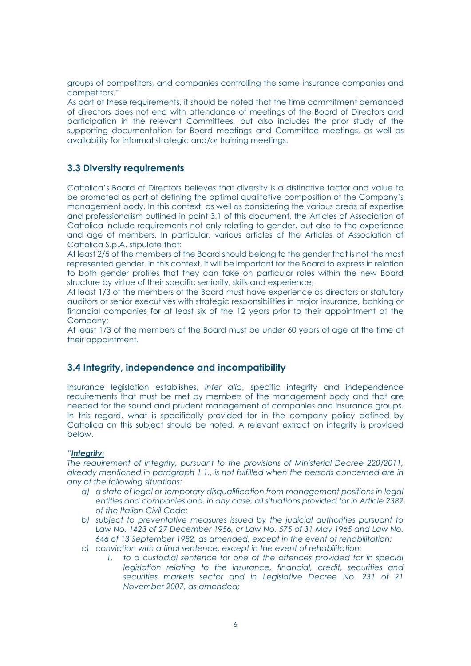groups of competitors, and companies controlling the same insurance companies and competitors."

As part of these requirements, it should be noted that the time commitment demanded of directors does not end with attendance of meetings of the Board of Directors and participation in the relevant Committees, but also includes the prior study of the supporting documentation for Board meetings and Committee meetings, as well as availability for informal strategic and/or training meetings.

## 3.3 Diversity requirements

Cattolica's Board of Directors believes that diversity is a distinctive factor and value to be promoted as part of defining the optimal qualitative composition of the Company's management body. In this context, as well as considering the various areas of expertise and professionalism outlined in point 3.1 of this document, the Articles of Association of Cattolica include requirements not only relating to gender, but also to the experience and age of members. In particular, various articles of the Articles of Association of Cattolica S.p.A. stipulate that:

At least 2/5 of the members of the Board should belong to the gender that is not the most represented gender. In this context, it will be important for the Board to express in relation to both gender profiles that they can take on particular roles within the new Board structure by virtue of their specific seniority, skills and experience;

At least 1/3 of the members of the Board must have experience as directors or statutory auditors or senior executives with strategic responsibilities in major insurance, banking or financial companies for at least six of the 12 years prior to their appointment at the Company;

At least 1/3 of the members of the Board must be under 60 years of age at the time of their appointment.

## 3.4 Integrity, independence and incompatibility

Insurance legislation establishes, inter alia, specific integrity and independence requirements that must be met by members of the management body and that are needed for the sound and prudent management of companies and insurance groups. In this regard, what is specifically provided for in the company policy defined by Cattolica on this subject should be noted. A relevant extract on integrity is provided below.

#### "Integrity:

The requirement of integrity, pursuant to the provisions of Ministerial Decree 220/2011, already mentioned in paragraph 1.1., is not fulfilled when the persons concerned are in any of the following situations:

- a) a state of legal or temporary disqualification from management positions in legal entities and companies and, in any case, all situations provided for in Article 2382 of the Italian Civil Code;
- b) subject to preventative measures issued by the judicial authorities pursuant to Law No. 1423 of 27 December 1956, or Law No. 575 of 31 May 1965 and Law No. 646 of 13 September 1982, as amended, except in the event of rehabilitation;
- c) conviction with a final sentence, except in the event of rehabilitation:
	- 1. to a custodial sentence for one of the offences provided for in special legislation relating to the insurance, financial, credit, securities and securities markets sector and in Legislative Decree No. 231 of 21 November 2007, as amended;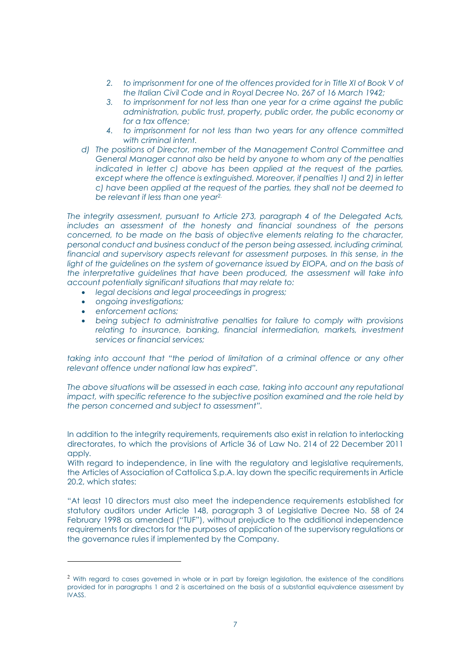- 2. to imprisonment for one of the offences provided for in Title XI of Book V of the Italian Civil Code and in Royal Decree No. 267 of 16 March 1942;
- 3. to imprisonment for not less than one year for a crime against the public administration, public trust, property, public order, the public economy or for a tax offence;
- 4. to imprisonment for not less than two years for any offence committed with criminal intent.
- d) The positions of Director, member of the Management Control Committee and General Manager cannot also be held by anyone to whom any of the penalties indicated in letter c) above has been applied at the request of the parties, except where the offence is extinguished. Moreover, if penalties 1) and 2) in letter c) have been applied at the request of the parties, they shall not be deemed to be relevant if less than one year<sup>2.</sup>

The integrity assessment, pursuant to Article 273, paragraph 4 of the Delegated Acts, includes an assessment of the honesty and financial soundness of the persons concerned, to be made on the basis of objective elements relating to the character, personal conduct and business conduct of the person being assessed, including criminal, financial and supervisory aspects relevant for assessment purposes. In this sense, in the light of the guidelines on the system of governance issued by EIOPA, and on the basis of the interpretative guidelines that have been produced, the assessment will take into account potentially significant situations that may relate to:

- legal decisions and legal proceedings in progress;
- ongoing investigations;
- enforcement actions;
- being subject to administrative penalties for failure to comply with provisions relating to insurance, banking, financial intermediation, markets, investment services or financial services;

taking into account that "the period of limitation of a criminal offence or any other relevant offence under national law has expired".

The above situations will be assessed in each case, taking into account any reputational impact, with specific reference to the subjective position examined and the role held by the person concerned and subject to assessment".

In addition to the integrity requirements, requirements also exist in relation to interlocking directorates, to which the provisions of Article 36 of Law No. 214 of 22 December 2011 apply.

With regard to independence, in line with the regulatory and legislative requirements, the Articles of Association of Cattolica S.p.A. lay down the specific requirements in Article 20.2, which states:

"At least 10 directors must also meet the independence requirements established for statutory auditors under Article 148, paragraph 3 of Legislative Decree No. 58 of 24 February 1998 as amended ("TUF"), without prejudice to the additional independence requirements for directors for the purposes of application of the supervisory regulations or the governance rules if implemented by the Company.

<sup>&</sup>lt;sup>2</sup> With regard to cases governed in whole or in part by foreign legislation, the existence of the conditions provided for in paragraphs 1 and 2 is ascertained on the basis of a substantial equivalence assessment by IVASS.